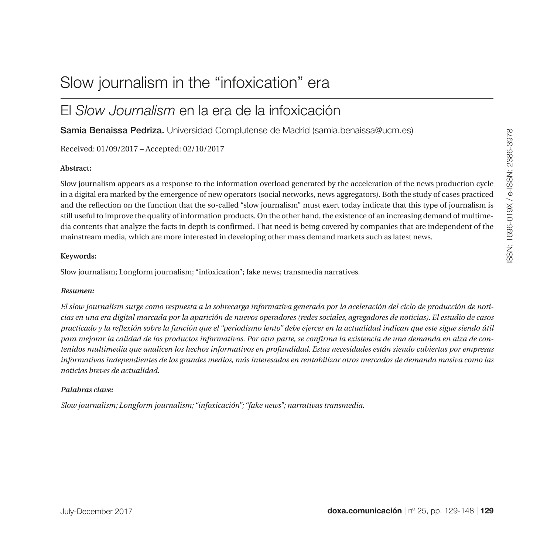# Slow journalism in the "infoxication" era

# El *Slow Journalism* en la era de la infoxicación

Samia Benaissa Pedriza. Universidad Complutense de Madrid [\(samia.benaissa@ucm.es\)](mailto:(samia.benaissa@ucm.es))

Received: 01/09/2017 – Accepted: 02/10/2017

#### **Abstract:**

Slow journalism appears as a response to the information overload generated by the acceleration of the news production cycle in a digital era marked by the emergence of new operators (social networks, news aggregators). Both the study of cases practiced and the reflection on the function that the so-called "slow journalism" must exert today indicate that this type of journalism is still useful to improve the quality of information products. On the other hand, the existence of an increasing demand of multimedia contents that analyze the facts in depth is confirmed. That need is being covered by companies that are independent of the mainstream media, which are more interested in developing other mass demand markets such as latest news.

#### **Keywords:**

Slow journalism; Longform journalism; "infoxication"; fake news; transmedia narratives.

#### *Resumen:*

*El slow journalism surge como respuesta a la sobrecarga informativa generada por la aceleración del ciclo de producción de noticias en una era digital marcada por la aparición de nuevos operadores (redes sociales, agregadores de noticias). El estudio de casos practicado y la reflexión sobre la función que el "periodismo lento" debe ejercer en la actualidad indican que este sigue siendo útil para mejorar la calidad de los productos informativos. Por otra parte, se confirma la existencia de una demanda en alza de contenidos multimedia que analicen los hechos informativos en profundidad. Estas necesidades están siendo cubiertas por empresas informativas independientes de los grandes medios, más interesados en rentabilizar otros mercados de demanda masiva como las noticias breves de actualidad.* 

#### *Palabras clave:*

*Slow journalism; Longform journalism; "infoxicación"; "fake news"; narrativas transmedia.*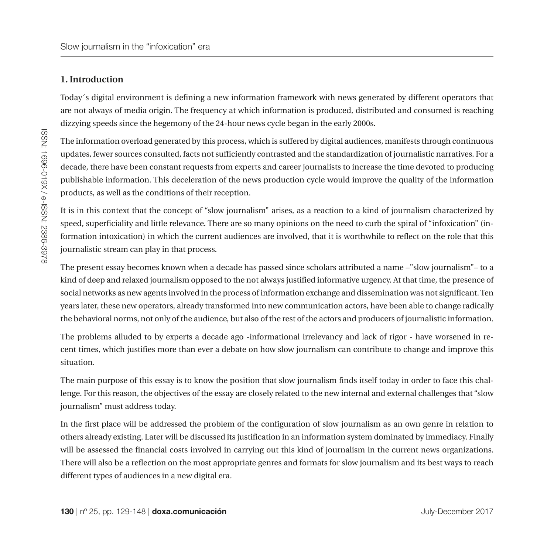# **1. Introduction**

Today´s digital environment is defining a new information framework with news generated by different operators that are not always of media origin. The frequency at which information is produced, distributed and consumed is reaching dizzying speeds since the hegemony of the 24-hour news cycle began in the early 2000s.

The information overload generated by this process, which is suffered by digital audiences, manifests through continuous updates, fewer sources consulted, facts not sufficiently contrasted and the standardization of journalistic narratives. For a decade, there have been constant requests from experts and career journalists to increase the time devoted to producing publishable information. This deceleration of the news production cycle would improve the quality of the information products, as well as the conditions of their reception.

It is in this context that the concept of "slow journalism" arises, as a reaction to a kind of journalism characterized by speed, superficiality and little relevance. There are so many opinions on the need to curb the spiral of "infoxication" (information intoxication) in which the current audiences are involved, that it is worthwhile to reflect on the role that this journalistic stream can play in that process.

The present essay becomes known when a decade has passed since scholars attributed a name –"slow journalism"– to a kind of deep and relaxed journalism opposed to the not always justified informative urgency. At that time, the presence of social networks as new agents involved in the process of information exchange and dissemination was not significant. Ten years later, these new operators, already transformed into new communication actors, have been able to change radically the behavioral norms, not only of the audience, but also of the rest of the actors and producers of journalistic information.

The problems alluded to by experts a decade ago -informational irrelevancy and lack of rigor - have worsened in recent times, which justifies more than ever a debate on how slow journalism can contribute to change and improve this situation.

The main purpose of this essay is to know the position that slow journalism finds itself today in order to face this challenge. For this reason, the objectives of the essay are closely related to the new internal and external challenges that "slow journalism" must address today.

In the first place will be addressed the problem of the configuration of slow journalism as an own genre in relation to others already existing. Later will be discussed its justification in an information system dominated by immediacy. Finally will be assessed the financial costs involved in carrying out this kind of journalism in the current news organizations. There will also be a reflection on the most appropriate genres and formats for slow journalism and its best ways to reach different types of audiences in a new digital era.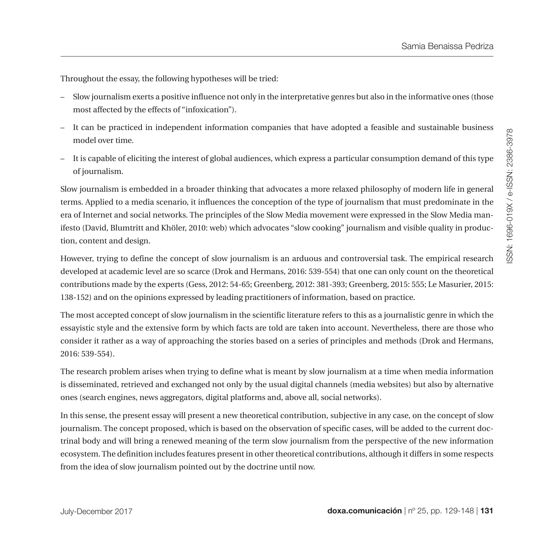Throughout the essay, the following hypotheses will be tried:

- Slow journalism exerts a positive influence not only in the interpretative genres but also in the informative ones (those most affected by the effects of "infoxication").
- It can be practiced in independent information companies that have adopted a feasible and sustainable business model over time.
- It is capable of eliciting the interest of global audiences, which express a particular consumption demand of this type of journalism.

Slow journalism is embedded in a broader thinking that advocates a more relaxed philosophy of modern life in general terms. Applied to a media scenario, it influences the conception of the type of journalism that must predominate in the era of Internet and social networks. The principles of the Slow Media movement were expressed in the Slow Media manifesto (David, Blumtritt and Khöler, 2010: web) which advocates "slow cooking" journalism and visible quality in production, content and design.

However, trying to define the concept of slow journalism is an arduous and controversial task. The empirical research developed at academic level are so scarce (Drok and Hermans, 2016: 539-554) that one can only count on the theoretical contributions made by the experts (Gess, 2012: 54-65; Greenberg, 2012: 381-393; Greenberg, 2015: 555; Le Masurier, 2015: 138-152) and on the opinions expressed by leading practitioners of information, based on practice.

The most accepted concept of slow journalism in the scientific literature refers to this as a journalistic genre in which the essayistic style and the extensive form by which facts are told are taken into account. Nevertheless, there are those who consider it rather as a way of approaching the stories based on a series of principles and methods (Drok and Hermans, 2016: 539-554).

The research problem arises when trying to define what is meant by slow journalism at a time when media information is disseminated, retrieved and exchanged not only by the usual digital channels (media websites) but also by alternative ones (search engines, news aggregators, digital platforms and, above all, social networks).

In this sense, the present essay will present a new theoretical contribution, subjective in any case, on the concept of slow journalism. The concept proposed, which is based on the observation of specific cases, will be added to the current doctrinal body and will bring a renewed meaning of the term slow journalism from the perspective of the new information ecosystem. The definition includes features present in other theoretical contributions, although it differs in some respects from the idea of slow journalism pointed out by the doctrine until now.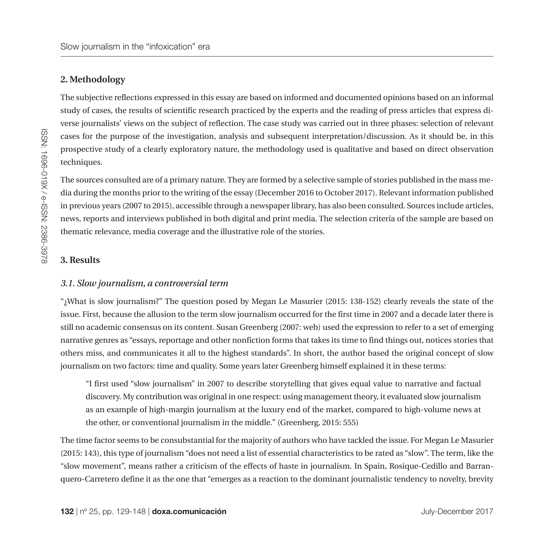# **2. Methodology**

The subjective reflections expressed in this essay are based on informed and documented opinions based on an informal study of cases, the results of scientific research practiced by the experts and the reading of press articles that express diverse journalists' views on the subject of reflection. The case study was carried out in three phases: selection of relevant cases for the purpose of the investigation, analysis and subsequent interpretation/discussion. As it should be, in this prospective study of a clearly exploratory nature, the methodology used is qualitative and based on direct observation techniques.

The sources consulted are of a primary nature. They are formed by a selective sample of stories published in the mass media during the months prior to the writing of the essay (December 2016 to October 2017). Relevant information published in previous years (2007 to 2015), accessible through a newspaper library, has also been consulted. Sources include articles, news, reports and interviews published in both digital and print media. The selection criteria of the sample are based on thematic relevance, media coverage and the illustrative role of the stories.

#### **3. Results**

#### *3.1. Slow journalism, a controversial term*

"¿What is slow journalism?" The question posed by Megan Le Masurier (2015: 138-152) clearly reveals the state of the issue. First, because the allusion to the term slow journalism occurred for the first time in 2007 and a decade later there is still no academic consensus on its content. Susan Greenberg (2007: web) used the expression to refer to a set of emerging narrative genres as "essays, reportage and other nonfiction forms that takes its time to find things out, notices stories that others miss, and communicates it all to the highest standards". In short, the author based the original concept of slow journalism on two factors: time and quality. Some years later Greenberg himself explained it in these terms:

"I first used "slow journalism" in 2007 to describe storytelling that gives equal value to narrative and factual discovery. My contribution was original in one respect: using management theory, it evaluated slow journalism as an example of high-margin journalism at the luxury end of the market, compared to high-volume news at the other, or conventional journalism in the middle." (Greenberg, 2015: 555)

The time factor seems to be consubstantial for the majority of authors who have tackled the issue. For Megan Le Masurier (2015: 143), this type of journalism "does not need a list of essential characteristics to be rated as "slow". The term, like the "slow movement", means rather a criticism of the effects of haste in journalism. In Spain, Rosique-Cedillo and Barranquero-Carretero define it as the one that "emerges as a reaction to the dominant journalistic tendency to novelty, brevity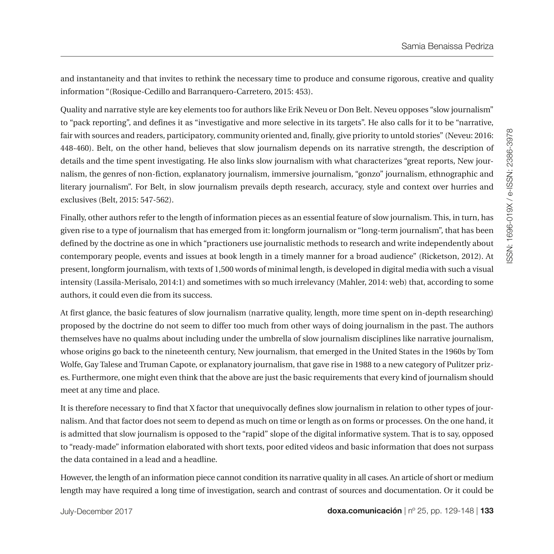and instantaneity and that invites to rethink the necessary time to produce and consume rigorous, creative and quality information "(Rosique-Cedillo and Barranquero-Carretero, 2015: 453).

Quality and narrative style are key elements too for authors like Erik Neveu or Don Belt. Neveu opposes "slow journalism" to "pack reporting", and defines it as "investigative and more selective in its targets". He also calls for it to be "narrative, fair with sources and readers, participatory, community oriented and, finally, give priority to untold stories" (Neveu: 2016: 448-460). Belt, on the other hand, believes that slow journalism depends on its narrative strength, the description of details and the time spent investigating. He also links slow journalism with what characterizes "great reports, New journalism, the genres of non-fiction, explanatory journalism, immersive journalism, "gonzo" journalism, ethnographic and literary journalism". For Belt, in slow journalism prevails depth research, accuracy, style and context over hurries and exclusives (Belt, 2015: 547-562).

Finally, other authors refer to the length of information pieces as an essential feature of slow journalism. This, in turn, has given rise to a type of journalism that has emerged from it: longform journalism or "long-term journalism", that has been defined by the doctrine as one in which "practioners use journalistic methods to research and write independently about contemporary people, events and issues at book length in a timely manner for a broad audience" (Ricketson, 2012). At present, longform journalism, with texts of 1,500 words of minimal length, is developed in digital media with such a visual intensity (Lassila-Merisalo, 2014:1) and sometimes with so much irrelevancy (Mahler, 2014: web) that, according to some authors, it could even die from its success.

At first glance, the basic features of slow journalism (narrative quality, length, more time spent on in-depth researching) proposed by the doctrine do not seem to differ too much from other ways of doing journalism in the past. The authors themselves have no qualms about including under the umbrella of slow journalism disciplines like narrative journalism, whose origins go back to the nineteenth century, New journalism, that emerged in the United States in the 1960s by Tom Wolfe, Gay Talese and Truman Capote, or explanatory journalism, that gave rise in 1988 to a new category of Pulitzer prizes. Furthermore, one might even think that the above are just the basic requirements that every kind of journalism should meet at any time and place.

It is therefore necessary to find that X factor that unequivocally defines slow journalism in relation to other types of journalism. And that factor does not seem to depend as much on time or length as on forms or processes. On the one hand, it is admitted that slow journalism is opposed to the "rapid" slope of the digital informative system. That is to say, opposed to "ready-made" information elaborated with short texts, poor edited videos and basic information that does not surpass the data contained in a lead and a headline.

However, the length of an information piece cannot condition its narrative quality in all cases. An article of short or medium length may have required a long time of investigation, search and contrast of sources and documentation. Or it could be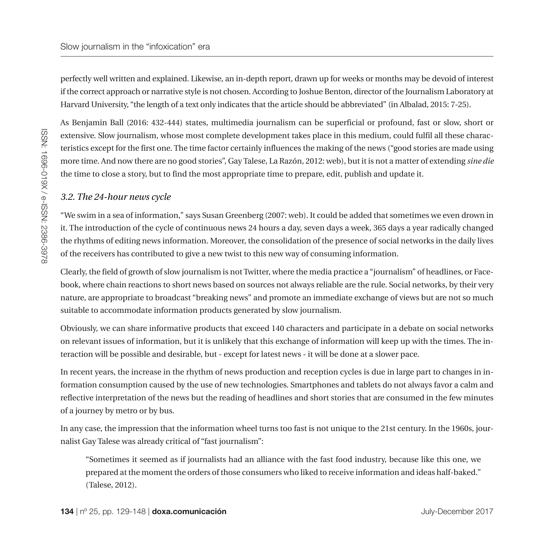perfectly well written and explained. Likewise, an in-depth report, drawn up for weeks or months may be devoid of interest if the correct approach or narrative style is not chosen. According to Joshue Benton, director of the Journalism Laboratory at Harvard University, "the length of a text only indicates that the article should be abbreviated" (in Albalad, 2015: 7-25).

As Benjamin Ball (2016: 432-444) states, multimedia journalism can be superficial or profound, fast or slow, short or extensive. Slow journalism, whose most complete development takes place in this medium, could fulfil all these characteristics except for the first one. The time factor certainly influences the making of the news ("good stories are made using more time. And now there are no good stories", Gay Talese, La Razón, 2012: web), but it is not a matter of extending *sine die* the time to close a story, but to find the most appropriate time to prepare, edit, publish and update it.

#### *3.2. The 24-hour news cycle*

"We swim in a sea of information," says Susan Greenberg (2007: web). It could be added that sometimes we even drown in it. The introduction of the cycle of continuous news 24 hours a day, seven days a week, 365 days a year radically changed the rhythms of editing news information. Moreover, the consolidation of the presence of social networks in the daily lives of the receivers has contributed to give a new twist to this new way of consuming information.

Clearly, the field of growth of slow journalism is not Twitter, where the media practice a "journalism" of headlines, or Facebook, where chain reactions to short news based on sources not always reliable are the rule. Social networks, by their very nature, are appropriate to broadcast "breaking news" and promote an immediate exchange of views but are not so much suitable to accommodate information products generated by slow journalism.

Obviously, we can share informative products that exceed 140 characters and participate in a debate on social networks on relevant issues of information, but it is unlikely that this exchange of information will keep up with the times. The interaction will be possible and desirable, but - except for latest news - it will be done at a slower pace.

In recent years, the increase in the rhythm of news production and reception cycles is due in large part to changes in information consumption caused by the use of new technologies. Smartphones and tablets do not always favor a calm and reflective interpretation of the news but the reading of headlines and short stories that are consumed in the few minutes of a journey by metro or by bus.

In any case, the impression that the information wheel turns too fast is not unique to the 21st century. In the 1960s, journalist Gay Talese was already critical of "fast journalism":

"Sometimes it seemed as if journalists had an alliance with the fast food industry, because like this one, we prepared at the moment the orders of those consumers who liked to receive information and ideas half-baked." (Talese, 2012).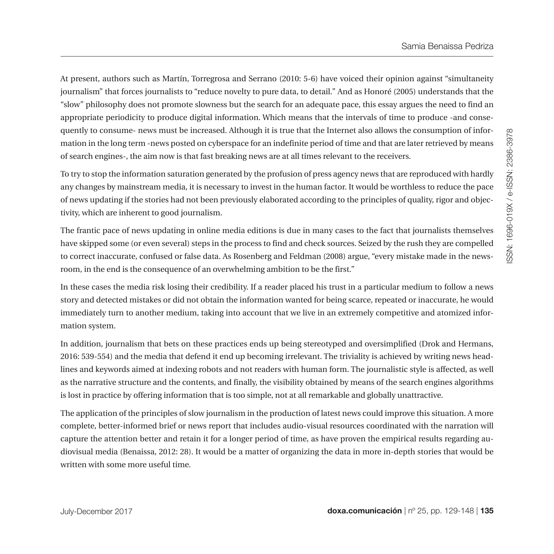At present, authors such as Martín, Torregrosa and Serrano (2010: 5-6) have voiced their opinion against "simultaneity journalism" that forces journalists to "reduce novelty to pure data, to detail." And as Honoré (2005) understands that the "slow" philosophy does not promote slowness but the search for an adequate pace, this essay argues the need to find an appropriate periodicity to produce digital information. Which means that the intervals of time to produce -and consequently to consume- news must be increased. Although it is true that the Internet also allows the consumption of information in the long term -news posted on cyberspace for an indefinite period of time and that are later retrieved by means of search engines-, the aim now is that fast breaking news are at all times relevant to the receivers.

To try to stop the information saturation generated by the profusion of press agency news that are reproduced with hardly any changes by mainstream media, it is necessary to invest in the human factor. It would be worthless to reduce the pace of news updating if the stories had not been previously elaborated according to the principles of quality, rigor and objectivity, which are inherent to good journalism.

The frantic pace of news updating in online media editions is due in many cases to the fact that journalists themselves have skipped some (or even several) steps in the process to find and check sources. Seized by the rush they are compelled to correct inaccurate, confused or false data. As Rosenberg and Feldman (2008) argue, "every mistake made in the newsroom, in the end is the consequence of an overwhelming ambition to be the first."

In these cases the media risk losing their credibility. If a reader placed his trust in a particular medium to follow a news story and detected mistakes or did not obtain the information wanted for being scarce, repeated or inaccurate, he would immediately turn to another medium, taking into account that we live in an extremely competitive and atomized information system.

In addition, journalism that bets on these practices ends up being stereotyped and oversimplified (Drok and Hermans, 2016: 539-554) and the media that defend it end up becoming irrelevant. The triviality is achieved by writing news headlines and keywords aimed at indexing robots and not readers with human form. The journalistic style is affected, as well as the narrative structure and the contents, and finally, the visibility obtained by means of the search engines algorithms is lost in practice by offering information that is too simple, not at all remarkable and globally unattractive.

The application of the principles of slow journalism in the production of latest news could improve this situation. A more complete, better-informed brief or news report that includes audio-visual resources coordinated with the narration will capture the attention better and retain it for a longer period of time, as have proven the empirical results regarding audiovisual media (Benaissa, 2012: 28). It would be a matter of organizing the data in more in-depth stories that would be written with some more useful time.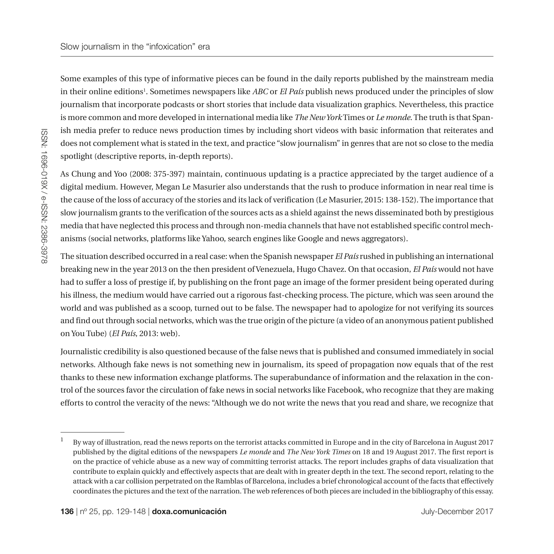Some examples of this type of informative pieces can be found in the daily reports published by the mainstream media in their online editions1 . Sometimes newspapers like *ABC* or *El País* publish news produced under the principles of slow journalism that incorporate podcasts or short stories that include data visualization graphics. Nevertheless, this practice is more common and more developed in international media like *The New York* Times or *Le monde*. The truth is that Spanish media prefer to reduce news production times by including short videos with basic information that reiterates and does not complement what is stated in the text, and practice "slow journalism" in genres that are not so close to the media spotlight (descriptive reports, in-depth reports).

As Chung and Yoo (2008: 375-397) maintain, continuous updating is a practice appreciated by the target audience of a digital medium. However, Megan Le Masurier also understands that the rush to produce information in near real time is the cause of the loss of accuracy of the stories and its lack of verification (Le Masurier, 2015: 138-152). The importance that slow journalism grants to the verification of the sources acts as a shield against the news disseminated both by prestigious media that have neglected this process and through non-media channels that have not established specific control mechanisms (social networks, platforms like Yahoo, search engines like Google and news aggregators).

The situation described occurred in a real case: when the Spanish newspaper *El País* rushed in publishing an international breaking new in the year 2013 on the then president of Venezuela, Hugo Chavez. On that occasion, *El País* would not have had to suffer a loss of prestige if, by publishing on the front page an image of the former president being operated during his illness, the medium would have carried out a rigorous fast-checking process. The picture, which was seen around the world and was published as a scoop, turned out to be false. The newspaper had to apologize for not verifying its sources and find out through social networks, which was the true origin of the picture (a video of an anonymous patient published on You Tube) (*El País*, 2013: web).

Journalistic credibility is also questioned because of the false news that is published and consumed immediately in social networks. Although fake news is not something new in journalism, its speed of propagation now equals that of the rest thanks to these new information exchange platforms. The superabundance of information and the relaxation in the control of the sources favor the circulation of fake news in social networks like Facebook, who recognize that they are making efforts to control the veracity of the news: "Although we do not write the news that you read and share, we recognize that

<sup>1</sup> By way of illustration, read the news reports on the terrorist attacks committed in Europe and in the city of Barcelona in August 2017 published by the digital editions of the newspapers *Le monde* and *The New York Times* on 18 and 19 August 2017. The first report is on the practice of vehicle abuse as a new way of committing terrorist attacks. The report includes graphs of data visualization that contribute to explain quickly and effectively aspects that are dealt with in greater depth in the text. The second report, relating to the attack with a car collision perpetrated on the Ramblas of Barcelona, includes a brief chronological account of the facts that effectively coordinates the pictures and the text of the narration. The web references of both pieces are included in the bibliography of this essay.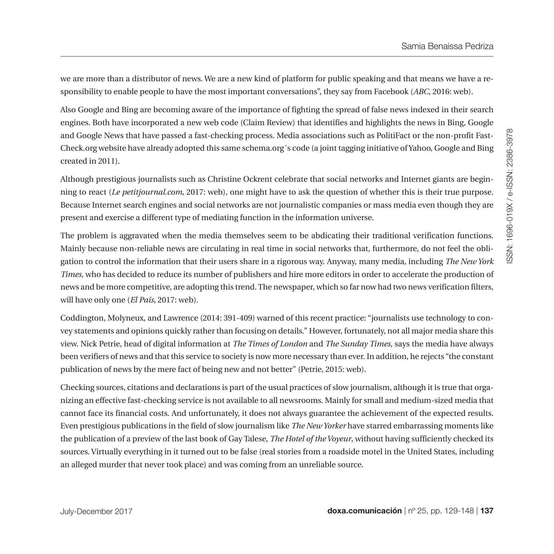we are more than a distributor of news. We are a new kind of platform for public speaking and that means we have a responsibility to enable people to have the most important conversations", they say from Facebook (*ABC*, 2016: web).

Also Google and Bing are becoming aware of the importance of fighting the spread of false news indexed in their search engines. Both have incorporated a new web code (Claim Review) that identifies and highlights the news in Bing, Google and Google News that have passed a fast-checking process. Media associations such as PolitiFact or the non-profit Fast-Check.org website have already adopted this same schema.org´s code (a joint tagging initiative of Yahoo, Google and Bing created in 2011).

Although prestigious journalists such as Christine Ockrent celebrate that social networks and Internet giants are beginning to react (*Le petitjournal.com*, 2017: web), one might have to ask the question of whether this is their true purpose. Because Internet search engines and social networks are not journalistic companies or mass media even though they are present and exercise a different type of mediating function in the information universe.

The problem is aggravated when the media themselves seem to be abdicating their traditional verification functions. Mainly because non-reliable news are circulating in real time in social networks that, furthermore, do not feel the obligation to control the information that their users share in a rigorous way. Anyway, many media, including *The New York Times*, who has decided to reduce its number of publishers and hire more editors in order to accelerate the production of news and be more competitive, are adopting this trend. The newspaper, which so far now had two news verification filters, will have only one (*El País*, 2017: web).

Coddington, Molyneux, and Lawrence (2014: 391-409) warned of this recent practice: "journalists use technology to convey statements and opinions quickly rather than focusing on details." However, fortunately, not all major media share this view. Nick Petrie, head of digital information at *The Times of London* and *The Sunday Times*, says the media have always been verifiers of news and that this service to society is now more necessary than ever. In addition, he rejects "the constant publication of news by the mere fact of being new and not better" (Petrie, 2015: web).

Checking sources, citations and declarations is part of the usual practices of slow journalism, although it is true that organizing an effective fast-checking service is not available to all newsrooms. Mainly for small and medium-sized media that cannot face its financial costs. And unfortunately, it does not always guarantee the achievement of the expected results. Even prestigious publications in the field of slow journalism like *The New Yorker* have starred embarrassing moments like the publication of a preview of the last book of Gay Talese, *The Hotel of the Voyeur*, without having sufficiently checked its sources. Virtually everything in it turned out to be false (real stories from a roadside motel in the United States, including an alleged murder that never took place) and was coming from an unreliable source.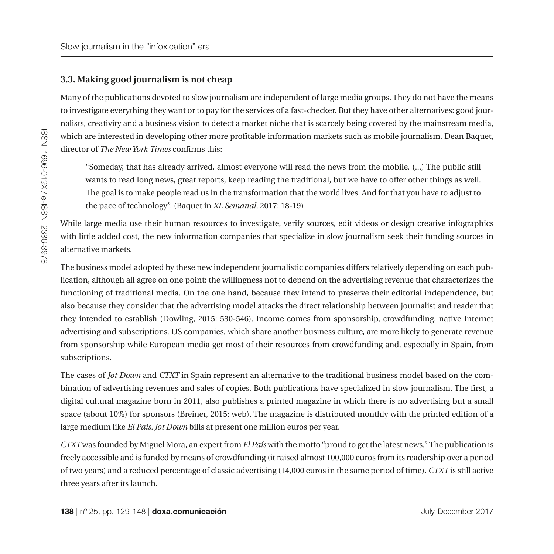#### **3.3. Making good journalism is not cheap**

Many of the publications devoted to slow journalism are independent of large media groups. They do not have the means to investigate everything they want or to pay for the services of a fast-checker. But they have other alternatives: good journalists, creativity and a business vision to detect a market niche that is scarcely being covered by the mainstream media, which are interested in developing other more profitable information markets such as mobile journalism. Dean Baquet, director of *The New York Times* confirms this:

"Someday, that has already arrived, almost everyone will read the news from the mobile. (...) The public still wants to read long news, great reports, keep reading the traditional, but we have to offer other things as well. The goal is to make people read us in the transformation that the world lives. And for that you have to adjust to the pace of technology". (Baquet in *XL Semanal*, 2017: 18-19)

While large media use their human resources to investigate, verify sources, edit videos or design creative infographics with little added cost, the new information companies that specialize in slow journalism seek their funding sources in alternative markets.

The business model adopted by these new independent journalistic companies differs relatively depending on each publication, although all agree on one point: the willingness not to depend on the advertising revenue that characterizes the functioning of traditional media. On the one hand, because they intend to preserve their editorial independence, but also because they consider that the advertising model attacks the direct relationship between journalist and reader that they intended to establish (Dowling, 2015: 530-546). Income comes from sponsorship, crowdfunding, native Internet advertising and subscriptions. US companies, which share another business culture, are more likely to generate revenue from sponsorship while European media get most of their resources from crowdfunding and, especially in Spain, from subscriptions.

The cases of *Jot Down* and *CTXT* in Spain represent an alternative to the traditional business model based on the combination of advertising revenues and sales of copies. Both publications have specialized in slow journalism. The first, a digital cultural magazine born in 2011, also publishes a printed magazine in which there is no advertising but a small space (about 10%) for sponsors (Breiner, 2015: web). The magazine is distributed monthly with the printed edition of a large medium like *El País. Jot Down* bills at present one million euros per year.

*CTXT* was founded by Miguel Mora, an expert from *El País* with the motto "proud to get the latest news." The publication is freely accessible and is funded by means of crowdfunding (it raised almost 100,000 euros from its readership over a period of two years) and a reduced percentage of classic advertising (14,000 euros in the same period of time). *CTXT* is still active three years after its launch.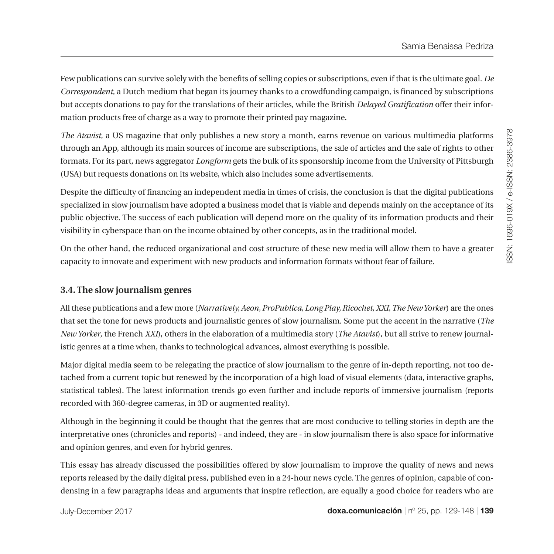Few publications can survive solely with the benefits of selling copies or subscriptions, even if that is the ultimate goal. *De Correspondent*, a Dutch medium that began its journey thanks to a crowdfunding campaign, is financed by subscriptions but accepts donations to pay for the translations of their articles, while the British *Delayed Gratification* offer their information products free of charge as a way to promote their printed pay magazine.

*The Atavist*, a US magazine that only publishes a new story a month, earns revenue on various multimedia platforms through an App, although its main sources of income are subscriptions, the sale of articles and the sale of rights to other formats. For its part, news aggregator *Longform* gets the bulk of its sponsorship income from the University of Pittsburgh (USA) but requests donations on its website, which also includes some advertisements.

Despite the difficulty of financing an independent media in times of crisis, the conclusion is that the digital publications specialized in slow journalism have adopted a business model that is viable and depends mainly on the acceptance of its public objective. The success of each publication will depend more on the quality of its information products and their visibility in cyberspace than on the income obtained by other concepts, as in the traditional model.

On the other hand, the reduced organizational and cost structure of these new media will allow them to have a greater capacity to innovate and experiment with new products and information formats without fear of failure.

# **3.4. The slow journalism genres**

All these publications and a few more (*Narratively, Aeon, ProPublica, Long Play, Ricochet, XXI, The New Yorker*) are the ones that set the tone for news products and journalistic genres of slow journalism. Some put the accent in the narrative (*The New Yorker*, the French *XXI*), others in the elaboration of a multimedia story (*The Atavist*), but all strive to renew journalistic genres at a time when, thanks to technological advances, almost everything is possible.

Major digital media seem to be relegating the practice of slow journalism to the genre of in-depth reporting, not too detached from a current topic but renewed by the incorporation of a high load of visual elements (data, interactive graphs, statistical tables). The latest information trends go even further and include reports of immersive journalism (reports recorded with 360-degree cameras, in 3D or augmented reality).

Although in the beginning it could be thought that the genres that are most conducive to telling stories in depth are the interpretative ones (chronicles and reports) - and indeed, they are - in slow journalism there is also space for informative and opinion genres, and even for hybrid genres.

This essay has already discussed the possibilities offered by slow journalism to improve the quality of news and news reports released by the daily digital press, published even in a 24-hour news cycle. The genres of opinion, capable of condensing in a few paragraphs ideas and arguments that inspire reflection, are equally a good choice for readers who are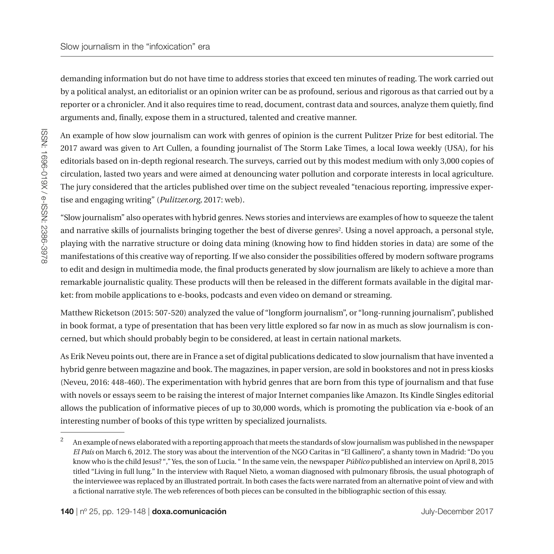demanding information but do not have time to address stories that exceed ten minutes of reading. The work carried out by a political analyst, an editorialist or an opinion writer can be as profound, serious and rigorous as that carried out by a reporter or a chronicler. And it also requires time to read, document, contrast data and sources, analyze them quietly, find arguments and, finally, expose them in a structured, talented and creative manner.

An example of how slow journalism can work with genres of opinion is the current Pulitzer Prize for best editorial. The 2017 award was given to Art Cullen, a founding journalist of The Storm Lake Times, a local Iowa weekly (USA), for his editorials based on in-depth regional research. The surveys, carried out by this modest medium with only 3,000 copies of circulation, lasted two years and were aimed at denouncing water pollution and corporate interests in local agriculture. The jury considered that the articles published over time on the subject revealed "tenacious reporting, impressive expertise and engaging writing" (*Pulitzer.org,* 2017: web).

"Slow journalism" also operates with hybrid genres. News stories and interviews are examples of how to squeeze the talent and narrative skills of journalists bringing together the best of diverse genres<sup>2</sup>. Using a novel approach, a personal style, playing with the narrative structure or doing data mining (knowing how to find hidden stories in data) are some of the manifestations of this creative way of reporting. If we also consider the possibilities offered by modern software programs to edit and design in multimedia mode, the final products generated by slow journalism are likely to achieve a more than remarkable journalistic quality. These products will then be released in the different formats available in the digital market: from mobile applications to e-books, podcasts and even video on demand or streaming.

Matthew Ricketson (2015: 507-520) analyzed the value of "longform journalism", or "long-running journalism", published in book format, a type of presentation that has been very little explored so far now in as much as slow journalism is concerned, but which should probably begin to be considered, at least in certain national markets.

As Erik Neveu points out, there are in France a set of digital publications dedicated to slow journalism that have invented a hybrid genre between magazine and book. The magazines, in paper version, are sold in bookstores and not in press kiosks (Neveu, 2016: 448-460). The experimentation with hybrid genres that are born from this type of journalism and that fuse with novels or essays seem to be raising the interest of major Internet companies like Amazon. Its Kindle Singles editorial allows the publication of informative pieces of up to 30,000 words, which is promoting the publication via e-book of an interesting number of books of this type written by specialized journalists.

<sup>&</sup>lt;sup>2</sup> An example of news elaborated with a reporting approach that meets the standards of slow journalism was published in the newspaper *El País* on March 6, 2012. The story was about the intervention of the NGO Caritas in "El Gallinero", a shanty town in Madrid: "Do you know who is the child Jesus? "," Yes, the son of Lucia. " In the same vein, the newspaper *Público* published an interview on April 8, 2015 titled "Living in full lung." In the interview with Raquel Nieto, a woman diagnosed with pulmonary fibrosis, the usual photograph of the interviewee was replaced by an illustrated portrait. In both cases the facts were narrated from an alternative point of view and with a fictional narrative style. The web references of both pieces can be consulted in the bibliographic section of this essay.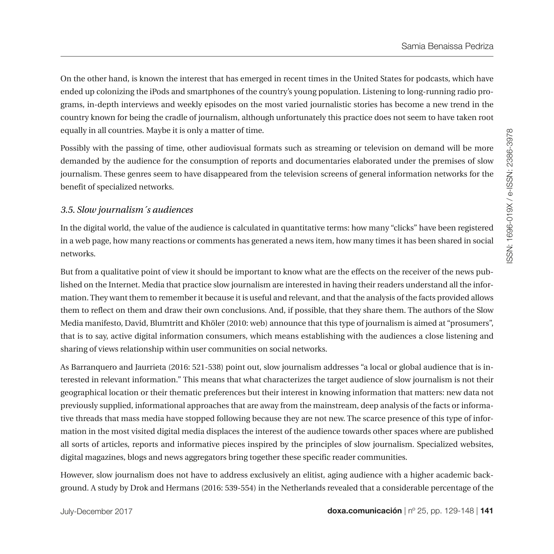On the other hand, is known the interest that has emerged in recent times in the United States for podcasts, which have ended up colonizing the iPods and smartphones of the country's young population. Listening to long-running radio programs, in-depth interviews and weekly episodes on the most varied journalistic stories has become a new trend in the country known for being the cradle of journalism, although unfortunately this practice does not seem to have taken root equally in all countries. Maybe it is only a matter of time.

Possibly with the passing of time, other audiovisual formats such as streaming or television on demand will be more demanded by the audience for the consumption of reports and documentaries elaborated under the premises of slow journalism. These genres seem to have disappeared from the television screens of general information networks for the benefit of specialized networks.

#### *3.5. Slow journalism´s audiences*

In the digital world, the value of the audience is calculated in quantitative terms: how many "clicks" have been registered in a web page, how many reactions or comments has generated a news item, how many times it has been shared in social networks.

But from a qualitative point of view it should be important to know what are the effects on the receiver of the news published on the Internet. Media that practice slow journalism are interested in having their readers understand all the information. They want them to remember it because it is useful and relevant, and that the analysis of the facts provided allows them to reflect on them and draw their own conclusions. And, if possible, that they share them. The authors of the Slow Media manifesto, David, Blumtritt and Khöler (2010: web) announce that this type of journalism is aimed at "prosumers", that is to say, active digital information consumers, which means establishing with the audiences a close listening and sharing of views relationship within user communities on social networks.

As Barranquero and Jaurrieta (2016: 521-538) point out, slow journalism addresses "a local or global audience that is interested in relevant information." This means that what characterizes the target audience of slow journalism is not their geographical location or their thematic preferences but their interest in knowing information that matters: new data not previously supplied, informational approaches that are away from the mainstream, deep analysis of the facts or informative threads that mass media have stopped following because they are not new. The scarce presence of this type of information in the most visited digital media displaces the interest of the audience towards other spaces where are published all sorts of articles, reports and informative pieces inspired by the principles of slow journalism. Specialized websites, digital magazines, blogs and news aggregators bring together these specific reader communities.

However, slow journalism does not have to address exclusively an elitist, aging audience with a higher academic background. A study by Drok and Hermans (2016: 539-554) in the Netherlands revealed that a considerable percentage of the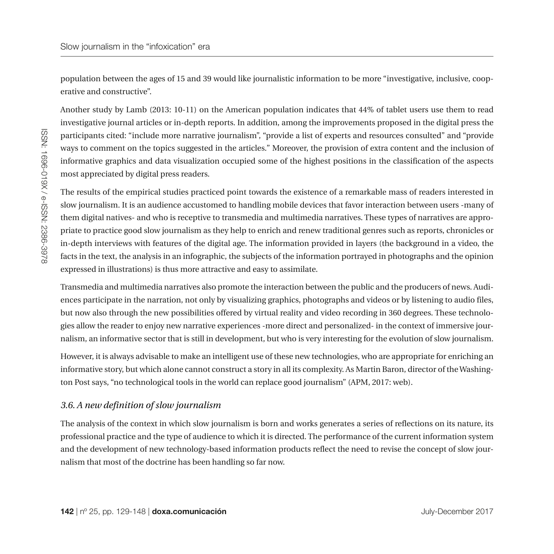population between the ages of 15 and 39 would like journalistic information to be more "investigative, inclusive, cooperative and constructive".

Another study by Lamb (2013: 10-11) on the American population indicates that 44% of tablet users use them to read investigative journal articles or in-depth reports. In addition, among the improvements proposed in the digital press the participants cited: "include more narrative journalism", "provide a list of experts and resources consulted" and "provide ways to comment on the topics suggested in the articles." Moreover, the provision of extra content and the inclusion of informative graphics and data visualization occupied some of the highest positions in the classification of the aspects most appreciated by digital press readers.

The results of the empirical studies practiced point towards the existence of a remarkable mass of readers interested in slow journalism. It is an audience accustomed to handling mobile devices that favor interaction between users -many of them digital natives- and who is receptive to transmedia and multimedia narratives. These types of narratives are appropriate to practice good slow journalism as they help to enrich and renew traditional genres such as reports, chronicles or in-depth interviews with features of the digital age. The information provided in layers (the background in a video, the facts in the text, the analysis in an infographic, the subjects of the information portrayed in photographs and the opinion expressed in illustrations) is thus more attractive and easy to assimilate.

Transmedia and multimedia narratives also promote the interaction between the public and the producers of news. Audiences participate in the narration, not only by visualizing graphics, photographs and videos or by listening to audio files, but now also through the new possibilities offered by virtual reality and video recording in 360 degrees. These technologies allow the reader to enjoy new narrative experiences -more direct and personalized- in the context of immersive journalism, an informative sector that is still in development, but who is very interesting for the evolution of slow journalism.

However, it is always advisable to make an intelligent use of these new technologies, who are appropriate for enriching an informative story, but which alone cannot construct a story in all its complexity. As Martin Baron, director of the Washington Post says, "no technological tools in the world can replace good journalism" (APM, 2017: web).

# *3.6. A new definition of slow journalism*

The analysis of the context in which slow journalism is born and works generates a series of reflections on its nature, its professional practice and the type of audience to which it is directed. The performance of the current information system and the development of new technology-based information products reflect the need to revise the concept of slow journalism that most of the doctrine has been handling so far now.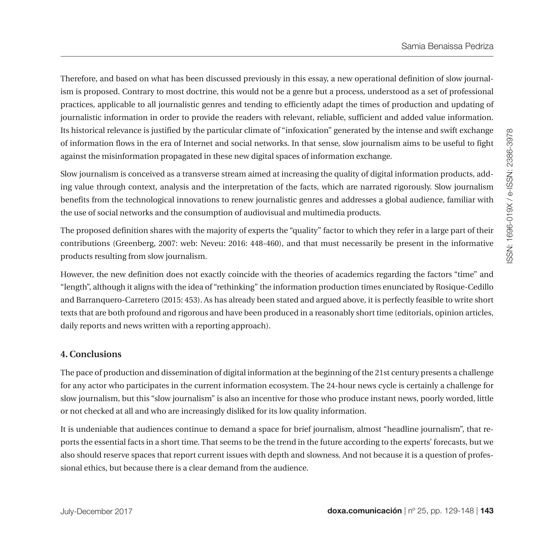Therefore, and based on what has been discussed previously in this essay, a new operational definition of slow journalism is proposed. Contrary to most doctrine, this would not be a genre but a process, understood as a set of professional practices, applicable to all journalistic genres and tending to efficiently adapt the times of production and updating of journalistic information in order to provide the readers with relevant, reliable, sufficient and added value information. Its historical relevance is justified by the particular climate of "infoxication" generated by the intense and swift exchange of information flows in the era of Internet and social networks. In that sense, slow journalism aims to be useful to fight against the misinformation propagated in these new digital spaces of information exchange.

Slow journalism is conceived as a transverse stream aimed at increasing the quality of digital information products, adding value through context, analysis and the interpretation of the facts, which are narrated rigorously. Slow journalism benefits from the technological innovations to renew journalistic genres and addresses a global audience, familiar with the use of social networks and the consumption of audiovisual and multimedia products.

The proposed definition shares with the majority of experts the "quality" factor to which they refer in a large part of their contributions (Greenberg, 2007: web: Neveu: 2016: 448-460), and that must necessarily be present in the informative products resulting from slow journalism.

However, the new definition does not exactly coincide with the theories of academics regarding the factors "time" and "length", although it aligns with the idea of "rethinking" the information production times enunciated by Rosique-Cedillo and Barranquero-Carretero (2015: 453). As has already been stated and argued above, it is perfectly feasible to write short texts that are both profound and rigorous and have been produced in a reasonably short time (editorials, opinion articles, daily reports and news written with a reporting approach).

# **4. Conclusions**

The pace of production and dissemination of digital information at the beginning of the 21st century presents a challenge for any actor who participates in the current information ecosystem. The 24-hour news cycle is certainly a challenge for slow journalism, but this "slow journalism" is also an incentive for those who produce instant news, poorly worded, little or not checked at all and who are increasingly disliked for its low quality information.

It is undeniable that audiences continue to demand a space for brief journalism, almost "headline journalism", that reports the essential facts in a short time. That seems to be the trend in the future according to the experts' forecasts, but we also should reserve spaces that report current issues with depth and slowness. And not because it is a question of professional ethics, but because there is a clear demand from the audience.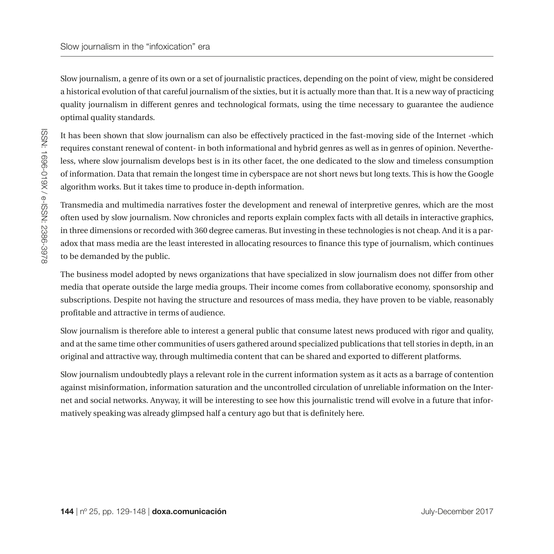Slow journalism, a genre of its own or a set of journalistic practices, depending on the point of view, might be considered a historical evolution of that careful journalism of the sixties, but it is actually more than that. It is a new way of practicing quality journalism in different genres and technological formats, using the time necessary to guarantee the audience optimal quality standards.

It has been shown that slow journalism can also be effectively practiced in the fast-moving side of the Internet -which requires constant renewal of content- in both informational and hybrid genres as well as in genres of opinion. Nevertheless, where slow journalism develops best is in its other facet, the one dedicated to the slow and timeless consumption of information. Data that remain the longest time in cyberspace are not short news but long texts. This is how the Google algorithm works. But it takes time to produce in-depth information.

Transmedia and multimedia narratives foster the development and renewal of interpretive genres, which are the most often used by slow journalism. Now chronicles and reports explain complex facts with all details in interactive graphics, in three dimensions or recorded with 360 degree cameras. But investing in these technologies is not cheap. And it is a paradox that mass media are the least interested in allocating resources to finance this type of journalism, which continues to be demanded by the public.

The business model adopted by news organizations that have specialized in slow journalism does not differ from other media that operate outside the large media groups. Their income comes from collaborative economy, sponsorship and subscriptions. Despite not having the structure and resources of mass media, they have proven to be viable, reasonably profitable and attractive in terms of audience.

Slow journalism is therefore able to interest a general public that consume latest news produced with rigor and quality, and at the same time other communities of users gathered around specialized publications that tell stories in depth, in an original and attractive way, through multimedia content that can be shared and exported to different platforms.

Slow journalism undoubtedly plays a relevant role in the current information system as it acts as a barrage of contention against misinformation, information saturation and the uncontrolled circulation of unreliable information on the Internet and social networks. Anyway, it will be interesting to see how this journalistic trend will evolve in a future that informatively speaking was already glimpsed half a century ago but that is definitely here.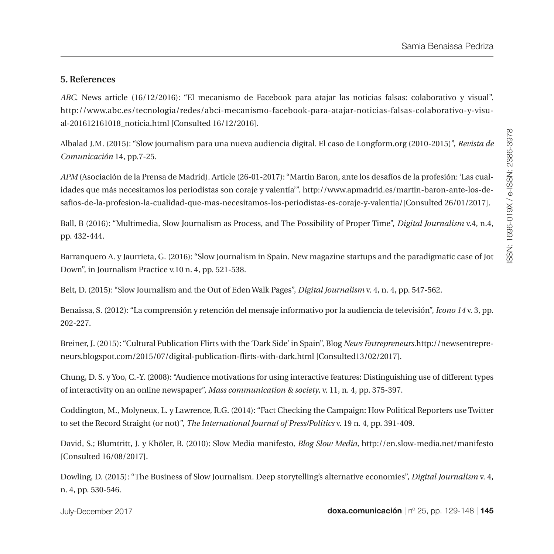# **5. References**

*ABC*. News article (16/12/2016): "El mecanismo de Facebook para atajar las noticias falsas: colaborativo y visual". http://www.abc.es/tecnologia/redes/abci-mecanismo-facebook-para-atajar-noticias-falsas-colaborativo-y-visual-201612161018\_noticia.html [Consulted 16/12/2016].

Albalad J.M. (2015): "Slow journalism para una nueva audiencia digital. El caso de Longform.org (2010-2015)", *Revista de Comunicación* 14, pp.7-25.

*APM* (Asociación de la Prensa de Madrid). Article (26-01-2017): "Martin Baron, ante los desafíos de la profesión: 'Las cualidades que más necesitamos los periodistas son coraje y valentía'". [http://www.apmadrid.es/martin-baron-ante-los-de](http://www.apmadrid.es/martin-baron-ante-los-desafios-de-la-profesion-la-cualidad-que-mas-necesitamos-los-periodistas-es-coraje-y-valentia/)[safios-de-la-profesion-la-cualidad-que-mas-necesitamos-los-periodistas-es-coraje-y-valentia/\[](http://www.apmadrid.es/martin-baron-ante-los-desafios-de-la-profesion-la-cualidad-que-mas-necesitamos-los-periodistas-es-coraje-y-valentia/)Consulted 26/01/2017].

Ball, B (2016): "Multimedia, Slow Journalism as Process, and The Possibility of Proper Time", *Digital Journalism* v.4, n.4, pp. 432-444.

Barranquero A. y Jaurrieta, G. (2016): "Slow Journalism in Spain. New magazine startups and the paradigmatic case of Jot Down", in Journalism Practice v.10 n. 4, pp. 521-538.

Belt, D. (2015): "Slow Journalism and the Out of Eden Walk Pages", *Digital Journalism* v. 4, n. 4, pp. 547-562.

Benaissa, S. (2012): "La comprensión y retención del mensaje informativo por la audiencia de televisión", *Icono 14* v. 3, pp. 202-227.

Breiner, J. (2015): "Cultural Publication Flirts with the 'Dark Side' in Spain", Blog *News Entrepreneurs.*[http://newsentrepre](http://newsentrepreneurs.blogspot.com/2015/07/digital-publication-flirts-with-dark.html)[neurs.blogspot.com/2015/07/digital-publication-flirts-with-dark.html](http://newsentrepreneurs.blogspot.com/2015/07/digital-publication-flirts-with-dark.html) [Consulted13/02/2017].

Chung, D. S. y Yoo, C.-Y. (2008): "Audience motivations for using interactive features: Distinguishing use of different types of interactivity on an online newspaper", *Mass communication & society*, v. 11, n. 4, pp. 375-397.

Coddington, M., Molyneux, L. y Lawrence, R.G. (2014): "Fact Checking the Campaign: How Political Reporters use Twitter to set the Record Straight (or not)", *The International Journal of Press/Politics* v. 19 n. 4, pp. 391-409.

David, S.; Blumtritt, J. y Khöler, B. (2010): Slow Media manifesto, *Blog Slow Media,* <http://en.slow-media.net/manifesto> [Consulted 16/08/2017].

Dowling, D. (2015): "The Business of Slow Journalism. Deep storytelling's alternative economies", *[Digital Journalism](http://www.tandfonline.com/toc/rdij20/current)* v. 4, n. 4, pp. 530-546.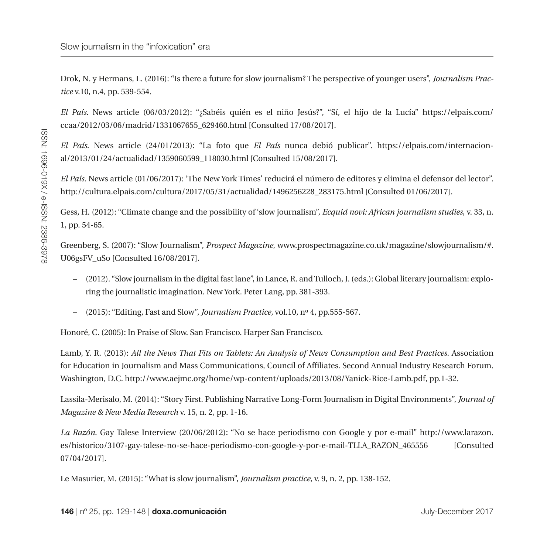Drok, N. y Hermans, L. (2016): "Is there a future for slow journalism? The perspective of younger users", *[Journalism Prac](http://www.tandfonline.com/toc/rjop20/current)[tice](http://www.tandfonline.com/toc/rjop20/current)* v.10, n.4, pp. 539-554.

*El País*. News article (06/03/2012): "¿Sabéis quién es el niño Jesús?", "Sí, el hijo de la Lucía" [https://elpais.com/](https://elpais.com/ccaa/2012/03/06/madrid/1331067655_629460.html) [ccaa/2012/03/06/madrid/1331067655\\_629460.html](https://elpais.com/ccaa/2012/03/06/madrid/1331067655_629460.html) [Consulted 17/08/2017].

*El País*. News article (24/01/2013): "La foto que *El País* nunca debió publicar". [https://elpais.com/internacion](https://elpais.com/internacional/2013/01/24/actualidad/1359060599_118030.html)[al/2013/01/24/actualidad/1359060599\\_118030.html](https://elpais.com/internacional/2013/01/24/actualidad/1359060599_118030.html) [Consulted 15/08/2017].

*El País*. News article (01/06/2017): 'The New York Times' reducirá el número de editores y elimina el defensor del lector". [http://cultura.elpais.com/cultura/2017/05/31/actualidad/1496256228\\_283175.html](http://cultura.elpais.com/cultura/2017/05/31/actualidad/1496256228_283175.html%20%20) [Consulted 01/06/2017].

Gess, H. (2012): "Climate change and the possibility of 'slow journalism", *Ecquid novi: African journalism studies*, v. 33, n. 1, pp. 54-65.

Greenberg, S. (2007): "Slow Journalism", *Prospect Magazine*, www.prospectmagazine.co.uk/magazine/slowjournalism/#. U06gsFV\_uSo [Consulted 16/08/2017].

- (2012). "Slow journalism in the digital fast lane", in Lance, R. and Tulloch, J. (eds.): Global literary journalism: exploring the journalistic imagination. New York. Peter Lang, pp. 381-393.
- (2015): "Editing, Fast and Slow", *[Journalism Practice](http://www.tandfonline.com/toc/rjop20/current),* vol.10, nº 4[, pp.555-567.](http://www.tandfonline.com/toc/rjop20/10/4)

Honoré, C. (2005): In Praise of Slow. San Francisco. Harper San Francisco.

Lamb, Y. R. (2013): *All the News That Fits on Tablets: An Analysis of News Consumption and Best Practices.* Association for Education in Journalism and Mass Communications, Council of Affiliates. Second Annual Industry Research Forum. Washington, D.C. http://www.aejmc.org/home/wp-content/uploads/2013/08/Yanick-Rice-Lamb.pdf, pp.1-32.

Lassila-Merisalo, M. (2014): "Story First. Publishing Narrative Long-Form Journalism in Digital Environments", *Journal of Magazine & New Media Research* v. 15, n. 2, pp. 1-16.

*La Razón*. Gay Talese Interview (20/06/2012): "No se hace periodismo con Google y por e-mail" [http://www.larazon.](http://www.larazon.es/historico/3107-gay-talese-no-se-hace-periodismo-con-google-y-por-e-mail-TLLA_RAZON_465556) [es/historico/3107-gay-talese-no-se-hace-periodismo-con-google-y-por-e-mail-TLLA\\_RAZON\\_465556](http://www.larazon.es/historico/3107-gay-talese-no-se-hace-periodismo-con-google-y-por-e-mail-TLLA_RAZON_465556) [Consulted 07/04/2017].

Le Masurier, M. (2015): "What is slow journalism", *Journalism practice*, v. 9, n. 2, pp. 138-152.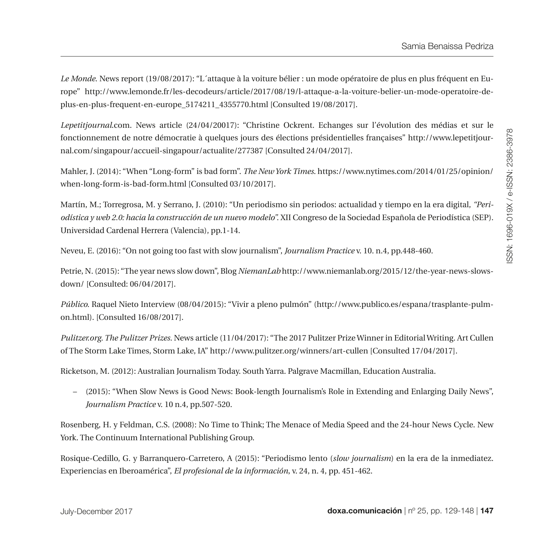*Le Monde.* News report (19/08/2017): "L´attaque à la voiture bélier : un mode opératoire de plus en plus fréquent en Europe" [http://www.lemonde.fr/les-decodeurs/article/2017/08/19/l-attaque-a-la-voiture-belier-un-mode-operatoire-de](http://www.lemonde.fr/les-decodeurs/article/2017/08/19/l-attaque-a-la-voiture-belier-un-mode-operatoire-de-plus-en-plus-frequent-en-europe_5174211_4355770.html)[plus-en-plus-frequent-en-europe\\_5174211\\_4355770.html](http://www.lemonde.fr/les-decodeurs/article/2017/08/19/l-attaque-a-la-voiture-belier-un-mode-operatoire-de-plus-en-plus-frequent-en-europe_5174211_4355770.html) [Consulted 19/08/2017].

*Lepetitjournal*.com. News article (24/04/20017): "Christine Ockrent. Echanges sur l'évolution des médias et sur le fonctionnement de notre démocratie à quelques jours des élections présidentielles françaises" [http://www.lepetitjour](http://www.lepetitjournal.com/singapour/accueil-singapour/actualite/277387)[nal.com/singapour/accueil-singapour/actualite/277387](http://www.lepetitjournal.com/singapour/accueil-singapour/actualite/277387) [Consulted 24/04/2017].

Mahler, J. (2014): "When "Long-form" is bad form". *The New York Times*. [https://www.nytimes.com/2014/01/25/opinion/](https://www.nytimes.com/2014/01/25/opinion/when-long-form-is-bad-form.html) [when-long-form-is-bad-form.html](https://www.nytimes.com/2014/01/25/opinion/when-long-form-is-bad-form.html) [Consulted 03/10/2017].

Martín, M.; Torregrosa, M. y Serrano, J. (2010): "Un periodismo sin periodos: actualidad y tiempo en la era digital, *"Periodística y web 2.0: hacia la construcción de un nuevo modelo".* XII Congreso de la Sociedad Española de Periodística (SEP). Universidad Cardenal Herrera (Valencia), pp.1-14.

Neveu, E. (2016): "On not going too fast with slow journalism", *Journalism Practice* v. 10. n.4, pp.448-460.

Petrie, N. (2015): "The year news slow down", Blog *NiemanLab* [http://www.niemanlab.org/2015/12/the-year-news-slows](http://www.niemanlab.org/2015/12/the-year-news-slows-down/)[down/](http://www.niemanlab.org/2015/12/the-year-news-slows-down/) [Consulted: 06/04/2017].

*Público.* Raquel Nieto Interview (08/04/2015): "Vivir a pleno pulmón" ([http://www.publico.es/espana/trasplante-pulm](http://www.publico.es/espana/trasplante-pulmon.html)[on.html\)](http://www.publico.es/espana/trasplante-pulmon.html). [Consulted 16/08/2017].

*Pulitzer.org. The Pulitzer Prizes.* News article (11/04/2017): "The 2017 Pulitzer Prize Winner in Editorial Writing. Art Cullen of The Storm Lake Times, Storm Lake, IA" http://www.pulitzer.org/winners/art-cullen [Consulted 17/04/2017].

Ricketson, M. (2012): Australian Journalism Today. South Yarra. Palgrave Macmillan, Education Australia.

– (2015): "When Slow News is Good News: Book-length Journalism's Role in Extending and Enlarging Daily News", *Journalism Practice* v. 10 n.4, pp.507-520.

Rosenberg, H. y Feldman, C.S. (2008): No Time to Think; The Menace of Media Speed and the 24-hour News Cycle. New York. The Continuum International Publishing Group.

Rosique-Cedillo, G. y Barranquero-Carretero, A (2015): "Periodismo lento (*slow journalism*) en la era de la inmediatez. Experiencias en Iberoamérica", *El profesional de la información*, v. 24, n. 4, pp. 451-462.